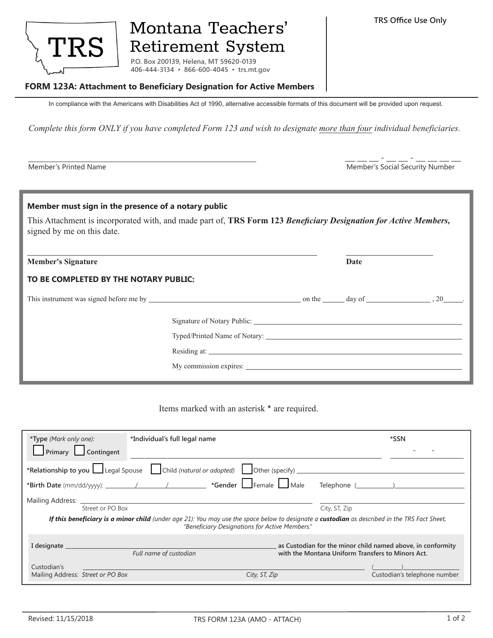

## Montana Teachers' **Retirement System**

**P.O. Box 200139, Helena, MT 59620-0139 406-444-3134 ▪ 866-600-4045 ▪ trs.mt.gov**

## **FORM 123A: Attachment to Beneficiary Designation for Active Members**

In compliance with the Americans with Disabilities Act of 1990, alternative accessible formats of this document will be provided upon request.

*Complete this form ONLY if you have completed Form 123 and wish to designate more than four individual beneficiaries.*

Member's Printed Name **Member's Social Security Number** Member's Social Security Number  $\bot$   $\bot$   $\bot$  -  $\bot$   $\bot$   $\bot$   $\bot$   $\bot$ 

| Member must sign in the presence of a notary public<br>This Attachment is incorporated with, and made part of, TRS Form 123 Beneficiary Designation for Active Members,<br>signed by me on this date. |              |  |      |  |  |  |
|-------------------------------------------------------------------------------------------------------------------------------------------------------------------------------------------------------|--------------|--|------|--|--|--|
| <b>Member's Signature</b>                                                                                                                                                                             |              |  | Date |  |  |  |
| TO BE COMPLETED BY THE NOTARY PUBLIC:                                                                                                                                                                 |              |  |      |  |  |  |
|                                                                                                                                                                                                       |              |  |      |  |  |  |
|                                                                                                                                                                                                       | Residing at: |  |      |  |  |  |
|                                                                                                                                                                                                       |              |  |      |  |  |  |

Items marked with an asterisk **\*** are required.

| *Type (Mark only one):<br>*Individual's full legal name<br>$\Box$ Primary $\Box$ Contingent                                                                                                                   | *SSN                                                                                                             |  |  |  |  |  |
|---------------------------------------------------------------------------------------------------------------------------------------------------------------------------------------------------------------|------------------------------------------------------------------------------------------------------------------|--|--|--|--|--|
| *Relationship to you Legal Spouse Child (natural or adopted) Chiler (specify)                                                                                                                                 |                                                                                                                  |  |  |  |  |  |
|                                                                                                                                                                                                               |                                                                                                                  |  |  |  |  |  |
| Mailing Address: ________________                                                                                                                                                                             |                                                                                                                  |  |  |  |  |  |
| Street or PO Box                                                                                                                                                                                              | City, ST, Zip                                                                                                    |  |  |  |  |  |
| <b>If this beneficiary is a minor child</b> (under age 21): You may use the space below to designate a <b>custodian</b> as described in the TRS Fact Sheet,<br>"Beneficiary Designations for Active Members." |                                                                                                                  |  |  |  |  |  |
| I designate __<br>Full name of custodian                                                                                                                                                                      | as Custodian for the minor child named above, in conformity<br>with the Montana Uniform Transfers to Minors Act. |  |  |  |  |  |
| Custodian's                                                                                                                                                                                                   |                                                                                                                  |  |  |  |  |  |
| Mailing Address: Street or PO Box<br>City, ST, Zip                                                                                                                                                            | Custodian's telephone number                                                                                     |  |  |  |  |  |